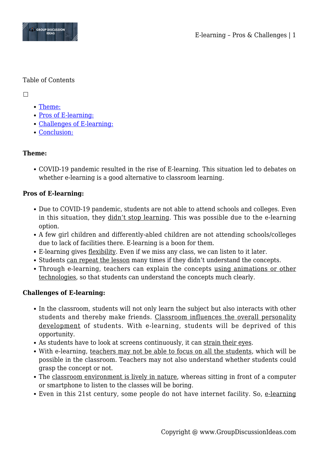

### Table of Contents

 $\Box$ 

- [Theme:](#page--1-0)
- [Pros of E-learning:](#page--1-0)
- [Challenges of E-learning:](#page--1-0)
- [Conclusion:](#page--1-0)

# **Theme:**

COVID-19 pandemic resulted in the rise of E-learning. This situation led to debates on whether e-learning is a good alternative to classroom learning.

# **Pros of E-learning:**

- Due to COVID-19 pandemic, students are not able to attend schools and colleges. Even in this situation, they didn't stop learning. This was possible due to the e-learning option.
- A few girl children and differently-abled children are not attending schools/colleges due to lack of facilities there. E-learning is a boon for them.
- E-learning gives flexibility. Even if we miss any class, we can listen to it later.
- Students can repeat the lesson many times if they didn't understand the concepts.
- Through e-learning, teachers can explain the concepts using animations or other technologies, so that students can understand the concepts much clearly.

# **Challenges of E-learning:**

- In the classroom, students will not only learn the subject but also interacts with other students and thereby make friends. Classroom influences the overall personality development of students. With e-learning, students will be deprived of this opportunity.
- As students have to look at screens continuously, it can strain their eyes.
- With e-learning, teachers may not be able to focus on all the students, which will be possible in the classroom. Teachers may not also understand whether students could grasp the concept or not.
- The classroom environment is lively in nature, whereas sitting in front of a computer or smartphone to listen to the classes will be boring.
- Even in this 21st century, some people do not have internet facility. So, e-learning